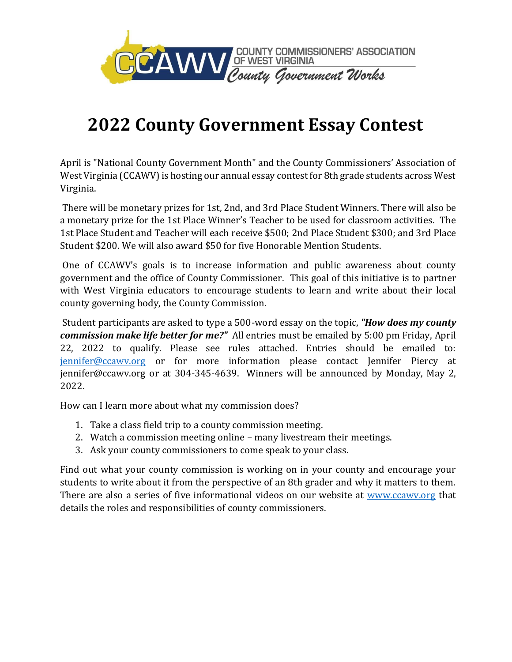

# **2022 County Government Essay Contest**

April is "National County Government Month" and the County Commissioners' Association of West Virginia (CCAWV) is hosting our annual essay contest for 8th grade students across West Virginia.

There will be monetary prizes for 1st, 2nd, and 3rd Place Student Winners. There will also be a monetary prize for the 1st Place Winner's Teacher to be used for classroom activities. The 1st Place Student and Teacher will each receive \$500; 2nd Place Student \$300; and 3rd Place Student \$200. We will also award \$50 for five Honorable Mention Students.

One of CCAWV's goals is to increase information and public awareness about county government and the office of County Commissioner. This goal of this initiative is to partner with West Virginia educators to encourage students to learn and write about their local county governing body, the County Commission.

Student participants are asked to type a 500-word essay on the topic, *"How does my county commission make life better for me?"* All entries must be emailed by 5:00 pm Friday, April 22, 2022 to qualify. Please see rules attached. Entries should be emailed to: [jennifer@ccawv.org](mailto:jennifer@ccawv.org) or for more information please contact Jennifer Piercy at jennifer@ccawv.org or at 304-345-4639. Winners will be announced by Monday, May 2, 2022.

How can I learn more about what my commission does?

- 1. Take a class field trip to a county commission meeting.
- 2. Watch a commission meeting online many livestream their meetings.
- 3. Ask your county commissioners to come speak to your class.

Find out what your county commission is working on in your county and encourage your students to write about it from the perspective of an 8th grader and why it matters to them. There are also a series of five informational videos on our website at [www.ccawv.org](http://www.ccawv.org/) that details the roles and responsibilities of county commissioners.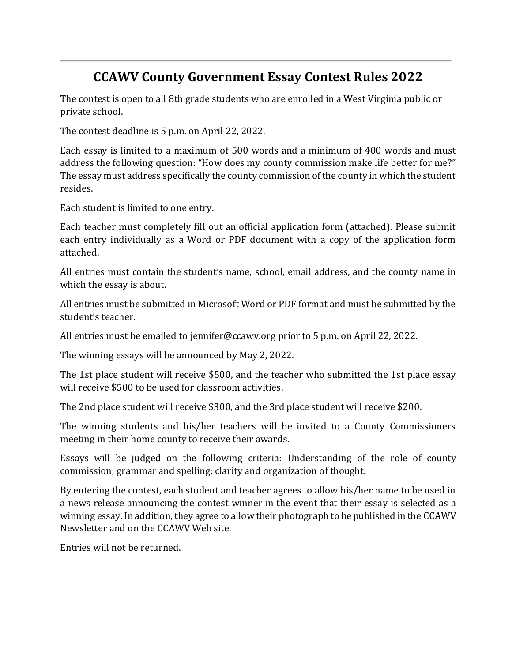### **CCAWV County Government Essay Contest Rules 2022**

The contest is open to all 8th grade students who are enrolled in a West Virginia public or private school.

The contest deadline is 5 p.m. on April 22, 2022.

Each essay is limited to a maximum of 500 words and a minimum of 400 words and must address the following question: "How does my county commission make life better for me?" The essay must address specifically the county commission of the county in which the student resides.

Each student is limited to one entry.

Each teacher must completely fill out an official application form (attached). Please submit each entry individually as a Word or PDF document with a copy of the application form attached.

All entries must contain the student's name, school, email address, and the county name in which the essay is about.

All entries must be submitted in Microsoft Word or PDF format and must be submitted by the student's teacher.

All entries must be emailed to jennifer@ccawv.org prior to 5 p.m. on April 22, 2022.

The winning essays will be announced by May 2, 2022.

The 1st place student will receive \$500, and the teacher who submitted the 1st place essay will receive \$500 to be used for classroom activities.

The 2nd place student will receive \$300, and the 3rd place student will receive \$200.

The winning students and his/her teachers will be invited to a County Commissioners meeting in their home county to receive their awards.

Essays will be judged on the following criteria: Understanding of the role of county commission; grammar and spelling; clarity and organization of thought.

By entering the contest, each student and teacher agrees to allow his/her name to be used in a news release announcing the contest winner in the event that their essay is selected as a winning essay. In addition, they agree to allow their photograph to be published in the CCAWV Newsletter and on the CCAWV Web site.

Entries will not be returned.